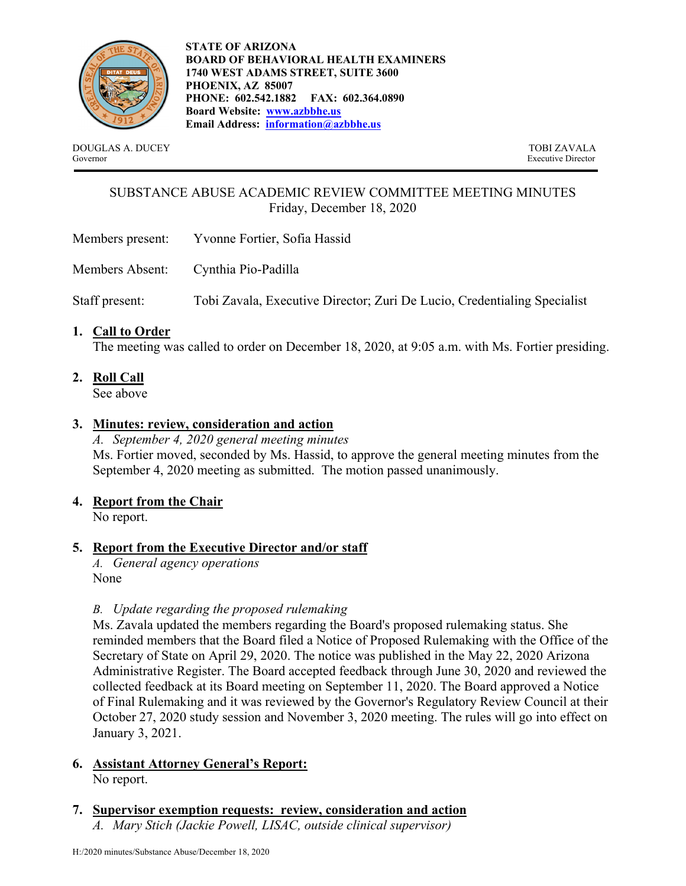

**STATE OF ARIZONA BOARD OF BEHAVIORAL HEALTH EXAMINERS 1740 WEST ADAMS STREET, SUITE 3600 PHOENIX, AZ 85007 PHONE: 602.542.1882 FAX: 602.364.0890 Board Website: www.azbbhe.us Email Address: information@azbbhe.us**

DOUGLAS A. DUCEY TOBI ZAVALA Governor Executive Director

# SUBSTANCE ABUSE ACADEMIC REVIEW COMMITTEE MEETING MINUTES Friday, December 18, 2020

- Members present: Yvonne Fortier, Sofia Hassid
- Members Absent: Cynthia Pio-Padilla

Staff present: Tobi Zavala, Executive Director; Zuri De Lucio, Credentialing Specialist

**1. Call to Order**

The meeting was called to order on December 18, 2020, at 9:05 a.m. with Ms. Fortier presiding.

**2. Roll Call**

See above

# **3. Minutes: review, consideration and action**

*A. September 4, 2020 general meeting minutes*  Ms. Fortier moved, seconded by Ms. Hassid, to approve the general meeting minutes from the September 4, 2020 meeting as submitted. The motion passed unanimously.

# **4. Report from the Chair**

No report.

# **5. Report from the Executive Director and/or staff**

*A. General agency operations*  None

#### *B. Update regarding the proposed rulemaking*

Ms. Zavala updated the members regarding the Board's proposed rulemaking status. She reminded members that the Board filed a Notice of Proposed Rulemaking with the Office of the Secretary of State on April 29, 2020. The notice was published in the May 22, 2020 Arizona Administrative Register. The Board accepted feedback through June 30, 2020 and reviewed the collected feedback at its Board meeting on September 11, 2020. The Board approved a Notice of Final Rulemaking and it was reviewed by the Governor's Regulatory Review Council at their October 27, 2020 study session and November 3, 2020 meeting. The rules will go into effect on January 3, 2021.

# **6. Assistant Attorney General's Report:**

No report.

#### **7. Supervisor exemption requests: review, consideration and action**  *A. Mary Stich (Jackie Powell, LISAC, outside clinical supervisor)*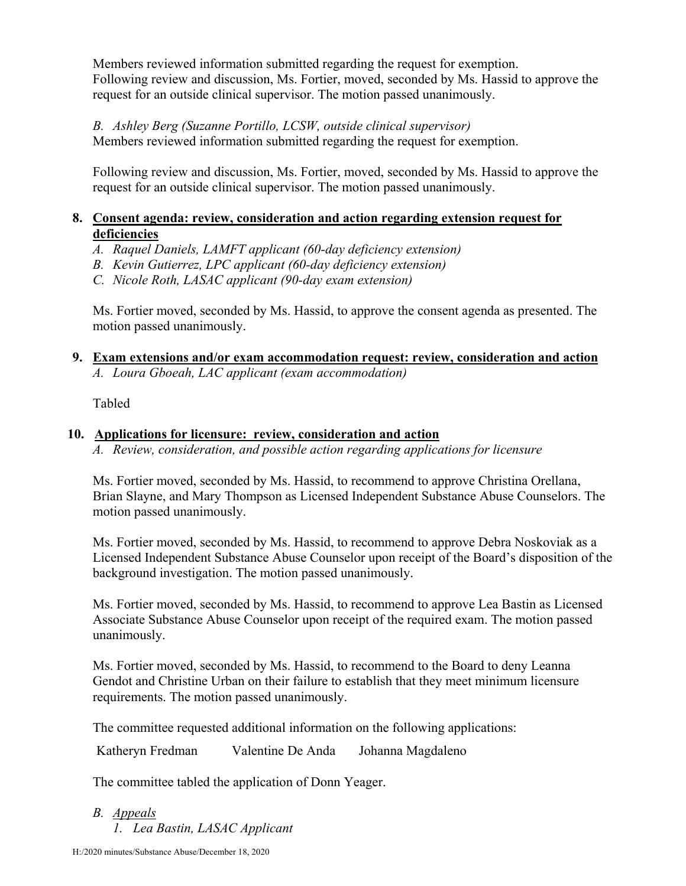Members reviewed information submitted regarding the request for exemption. Following review and discussion, Ms. Fortier, moved, seconded by Ms. Hassid to approve the request for an outside clinical supervisor. The motion passed unanimously.

#### *B. Ashley Berg (Suzanne Portillo, LCSW, outside clinical supervisor)* Members reviewed information submitted regarding the request for exemption.

Following review and discussion, Ms. Fortier, moved, seconded by Ms. Hassid to approve the request for an outside clinical supervisor. The motion passed unanimously.

# **8. Consent agenda: review, consideration and action regarding extension request for deficiencies**

- *A. Raquel Daniels, LAMFT applicant (60-day deficiency extension)*
- *B. Kevin Gutierrez, LPC applicant (60-day deficiency extension)*
- *C. Nicole Roth, LASAC applicant (90-day exam extension)*

Ms. Fortier moved, seconded by Ms. Hassid, to approve the consent agenda as presented. The motion passed unanimously.

# **9. Exam extensions and/or exam accommodation request: review, consideration and action**  *A. Loura Gboeah, LAC applicant (exam accommodation)*

Tabled

# **10. Applications for licensure: review, consideration and action**

*A. Review, consideration, and possible action regarding applications for licensure* 

Ms. Fortier moved, seconded by Ms. Hassid, to recommend to approve Christina Orellana, Brian Slayne, and Mary Thompson as Licensed Independent Substance Abuse Counselors. The motion passed unanimously.

Ms. Fortier moved, seconded by Ms. Hassid, to recommend to approve Debra Noskoviak as a Licensed Independent Substance Abuse Counselor upon receipt of the Board's disposition of the background investigation. The motion passed unanimously.

Ms. Fortier moved, seconded by Ms. Hassid, to recommend to approve Lea Bastin as Licensed Associate Substance Abuse Counselor upon receipt of the required exam. The motion passed unanimously.

Ms. Fortier moved, seconded by Ms. Hassid, to recommend to the Board to deny Leanna Gendot and Christine Urban on their failure to establish that they meet minimum licensure requirements. The motion passed unanimously.

The committee requested additional information on the following applications:

Katheryn Fredman Valentine De Anda Johanna Magdaleno

The committee tabled the application of Donn Yeager.

*B. Appeals 1. Lea Bastin, LASAC Applicant*